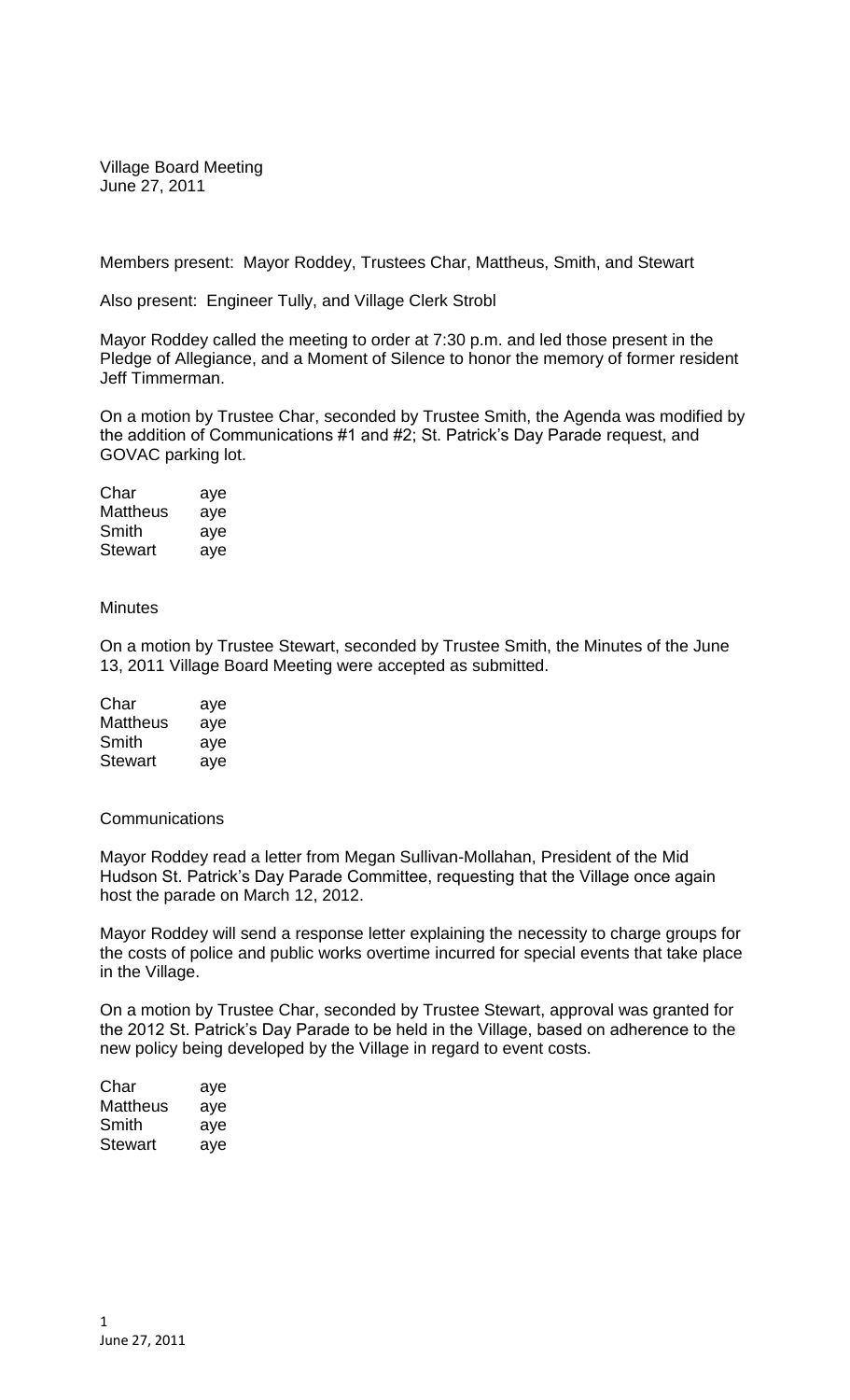Village Board Meeting June 27, 2011

Members present: Mayor Roddey, Trustees Char, Mattheus, Smith, and Stewart

Also present: Engineer Tully, and Village Clerk Strobl

Mayor Roddey called the meeting to order at 7:30 p.m. and led those present in the Pledge of Allegiance, and a Moment of Silence to honor the memory of former resident Jeff Timmerman.

On a motion by Trustee Char, seconded by Trustee Smith, the Agenda was modified by the addition of Communications #1 and #2; St. Patrick's Day Parade request, and GOVAC parking lot.

Char aye Mattheus aye Smith aye Stewart aye

**Minutes** 

On a motion by Trustee Stewart, seconded by Trustee Smith, the Minutes of the June 13, 2011 Village Board Meeting were accepted as submitted.

| Char     | aye |
|----------|-----|
| Mattheus | aye |
| Smith    | aye |
| Stewart  | aye |

## **Communications**

Mayor Roddey read a letter from Megan Sullivan-Mollahan, President of the Mid Hudson St. Patrick's Day Parade Committee, requesting that the Village once again host the parade on March 12, 2012.

Mayor Roddey will send a response letter explaining the necessity to charge groups for the costs of police and public works overtime incurred for special events that take place in the Village.

On a motion by Trustee Char, seconded by Trustee Stewart, approval was granted for the 2012 St. Patrick's Day Parade to be held in the Village, based on adherence to the new policy being developed by the Village in regard to event costs.

| Char     | aye |
|----------|-----|
| Mattheus | aye |
| Smith    | aye |
| Stewart  | aye |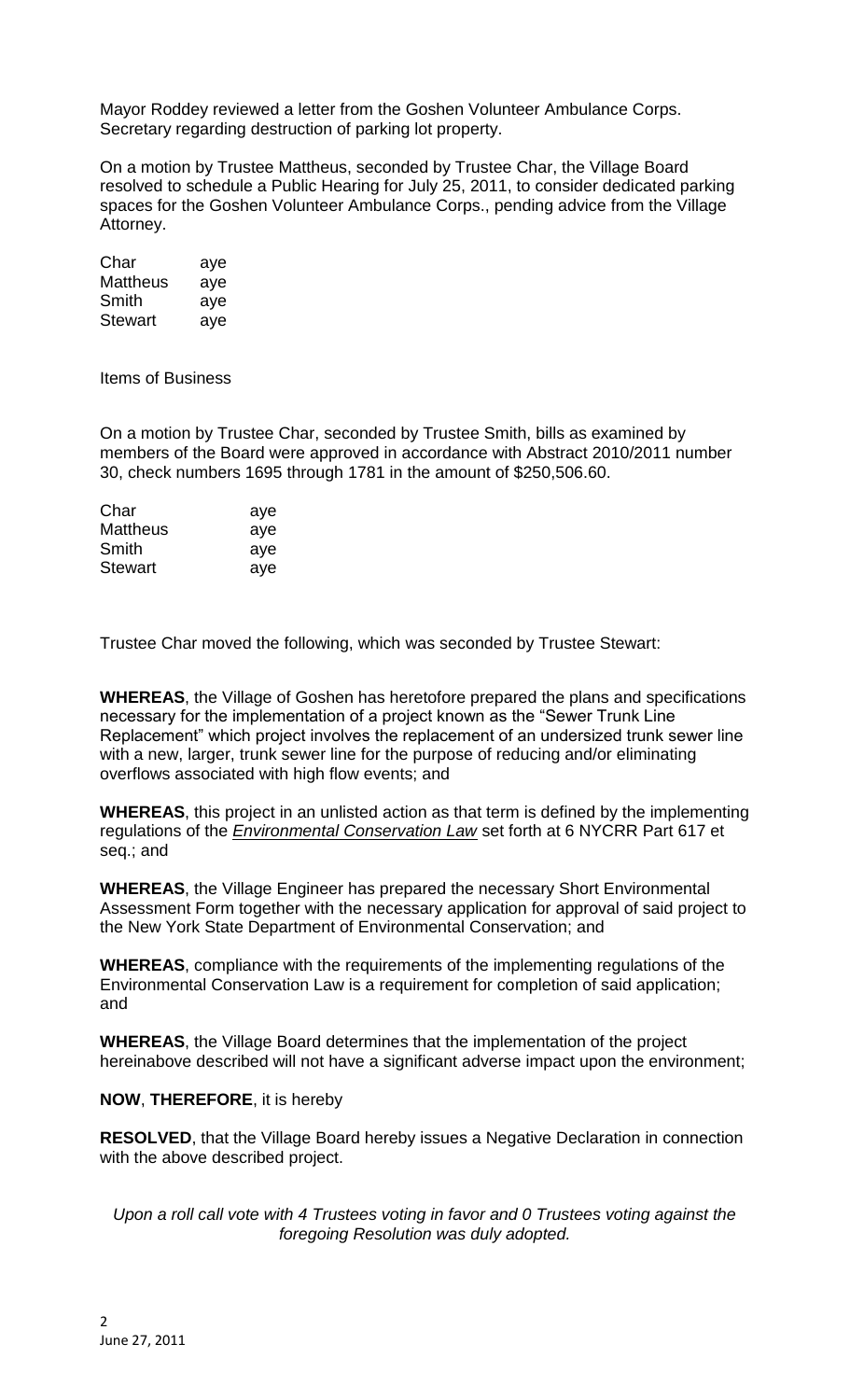Mayor Roddey reviewed a letter from the Goshen Volunteer Ambulance Corps. Secretary regarding destruction of parking lot property.

On a motion by Trustee Mattheus, seconded by Trustee Char, the Village Board resolved to schedule a Public Hearing for July 25, 2011, to consider dedicated parking spaces for the Goshen Volunteer Ambulance Corps., pending advice from the Village Attorney.

| Char            | aye |
|-----------------|-----|
| <b>Mattheus</b> | aye |
| Smith           | aye |
| Stewart         | aye |

Items of Business

On a motion by Trustee Char, seconded by Trustee Smith, bills as examined by members of the Board were approved in accordance with Abstract 2010/2011 number 30, check numbers 1695 through 1781 in the amount of \$250,506.60.

| Char           | aye |
|----------------|-----|
| Mattheus       | aye |
| Smith          | ave |
| <b>Stewart</b> | ave |

Trustee Char moved the following, which was seconded by Trustee Stewart:

**WHEREAS**, the Village of Goshen has heretofore prepared the plans and specifications necessary for the implementation of a project known as the "Sewer Trunk Line Replacement" which project involves the replacement of an undersized trunk sewer line with a new, larger, trunk sewer line for the purpose of reducing and/or eliminating overflows associated with high flow events; and

**WHEREAS**, this project in an unlisted action as that term is defined by the implementing regulations of the *Environmental Conservation Law* set forth at 6 NYCRR Part 617 et seq.; and

**WHEREAS**, the Village Engineer has prepared the necessary Short Environmental Assessment Form together with the necessary application for approval of said project to the New York State Department of Environmental Conservation; and

**WHEREAS**, compliance with the requirements of the implementing regulations of the Environmental Conservation Law is a requirement for completion of said application; and

**WHEREAS**, the Village Board determines that the implementation of the project hereinabove described will not have a significant adverse impact upon the environment;

## **NOW**, **THEREFORE**, it is hereby

**RESOLVED**, that the Village Board hereby issues a Negative Declaration in connection with the above described project.

*Upon a roll call vote with 4 Trustees voting in favor and 0 Trustees voting against the foregoing Resolution was duly adopted.*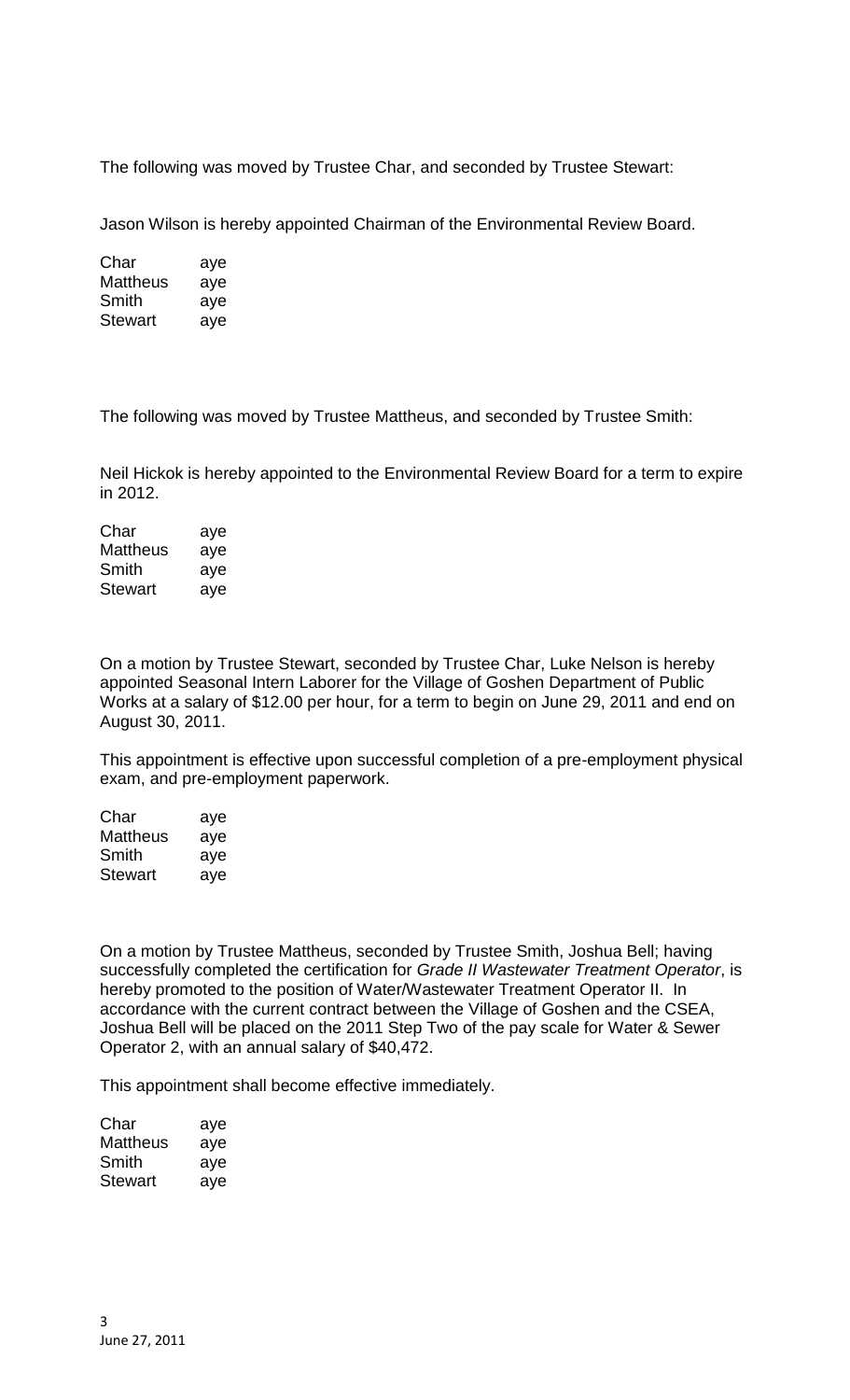The following was moved by Trustee Char, and seconded by Trustee Stewart:

Jason Wilson is hereby appointed Chairman of the Environmental Review Board.

| Char     | aye |
|----------|-----|
| Mattheus | aye |
| Smith    | aye |
| Stewart  | aye |

The following was moved by Trustee Mattheus, and seconded by Trustee Smith:

Neil Hickok is hereby appointed to the Environmental Review Board for a term to expire in 2012.

| Char            | aye |
|-----------------|-----|
| <b>Mattheus</b> | aye |
| Smith           | aye |
| <b>Stewart</b>  | aye |

On a motion by Trustee Stewart, seconded by Trustee Char, Luke Nelson is hereby appointed Seasonal Intern Laborer for the Village of Goshen Department of Public Works at a salary of \$12.00 per hour, for a term to begin on June 29, 2011 and end on August 30, 2011.

This appointment is effective upon successful completion of a pre-employment physical exam, and pre-employment paperwork.

| Char     | aye |
|----------|-----|
| Mattheus | aye |
| Smith    | aye |
| Stewart  | aye |

On a motion by Trustee Mattheus, seconded by Trustee Smith, Joshua Bell; having successfully completed the certification for *Grade II Wastewater Treatment Operator*, is hereby promoted to the position of Water/Wastewater Treatment Operator II. In accordance with the current contract between the Village of Goshen and the CSEA, Joshua Bell will be placed on the 2011 Step Two of the pay scale for Water & Sewer Operator 2, with an annual salary of \$40,472.

This appointment shall become effective immediately.

| Char     | aye |
|----------|-----|
| Mattheus | aye |
| Smith    | aye |
| Stewart  | aye |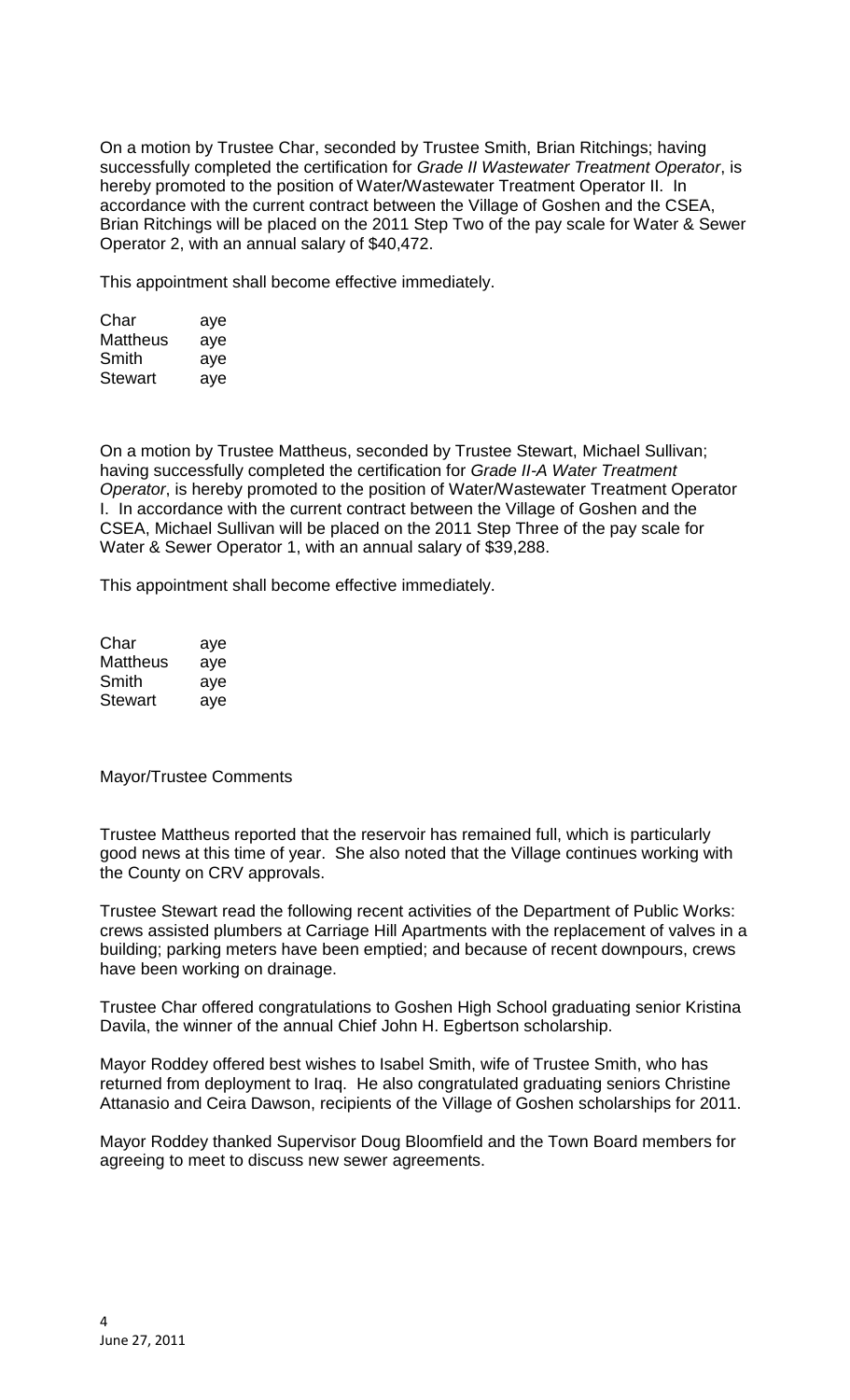On a motion by Trustee Char, seconded by Trustee Smith, Brian Ritchings; having successfully completed the certification for *Grade II Wastewater Treatment Operator*, is hereby promoted to the position of Water/Wastewater Treatment Operator II. In accordance with the current contract between the Village of Goshen and the CSEA, Brian Ritchings will be placed on the 2011 Step Two of the pay scale for Water & Sewer Operator 2, with an annual salary of \$40,472.

This appointment shall become effective immediately.

| Char            | aye |
|-----------------|-----|
| <b>Mattheus</b> | aye |
| Smith           | aye |
| <b>Stewart</b>  | aye |

On a motion by Trustee Mattheus, seconded by Trustee Stewart, Michael Sullivan; having successfully completed the certification for *Grade II-A Water Treatment Operator*, is hereby promoted to the position of Water/Wastewater Treatment Operator I. In accordance with the current contract between the Village of Goshen and the CSEA, Michael Sullivan will be placed on the 2011 Step Three of the pay scale for Water & Sewer Operator 1, with an annual salary of \$39,288.

This appointment shall become effective immediately.

| Char     | aye |
|----------|-----|
| Mattheus | aye |
| Smith    | aye |
| Stewart  | aye |

Mayor/Trustee Comments

Trustee Mattheus reported that the reservoir has remained full, which is particularly good news at this time of year. She also noted that the Village continues working with the County on CRV approvals.

Trustee Stewart read the following recent activities of the Department of Public Works: crews assisted plumbers at Carriage Hill Apartments with the replacement of valves in a building; parking meters have been emptied; and because of recent downpours, crews have been working on drainage.

Trustee Char offered congratulations to Goshen High School graduating senior Kristina Davila, the winner of the annual Chief John H. Egbertson scholarship.

Mayor Roddey offered best wishes to Isabel Smith, wife of Trustee Smith, who has returned from deployment to Iraq. He also congratulated graduating seniors Christine Attanasio and Ceira Dawson, recipients of the Village of Goshen scholarships for 2011.

Mayor Roddey thanked Supervisor Doug Bloomfield and the Town Board members for agreeing to meet to discuss new sewer agreements.